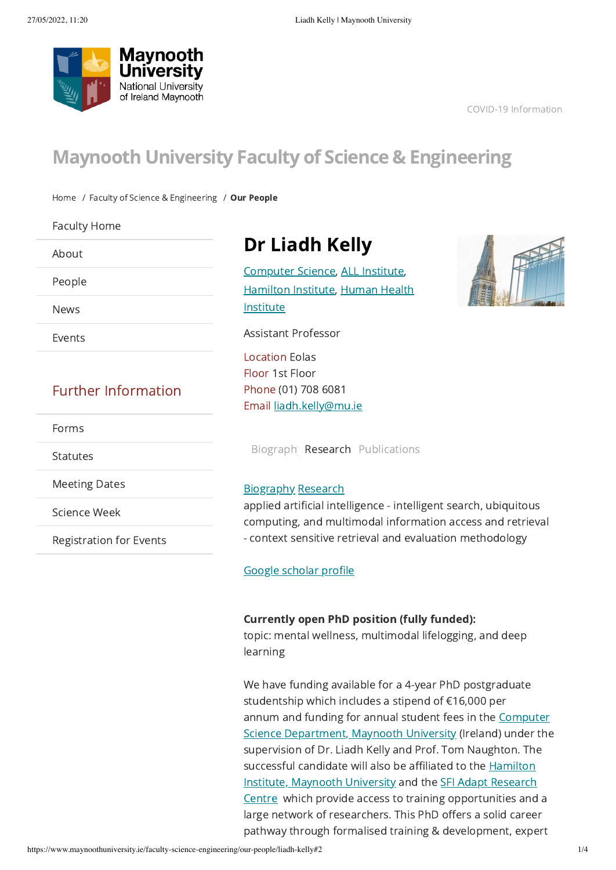<span id="page-0-2"></span>

COVID-19 [Information](https://www.maynoothuniversity.ie/coronavirus)

# Maynooth University Faculty of Science & Engineering

[Home](https://www.maynoothuniversity.ie/) / Faculty of Science & [Engineering](https://www.maynoothuniversity.ie/faculty-science-engineering) / Our [People](https://www.maynoothuniversity.ie/faculty-science-engineering/our-people)

[Faculty](https://www.maynoothuniversity.ie/faculty-science-engineering) Home

[About](https://www.maynoothuniversity.ie/faculty-science-engineering/about)

[People](https://www.maynoothuniversity.ie/faculty-science-engineering/people)

[News](https://www.maynoothuniversity.ie/faculty-science-engineering/news)

[Events](https://www.maynoothuniversity.ie/faculty-science-engineering/events)

# Further Information

[Forms](https://www.maynoothuniversity.ie/faculty-science-engineering/forms)

[Statutes](https://www.maynoothuniversity.ie/faculty-science-engineering/statutes)

[Meeting](https://www.maynoothuniversity.ie/faculty-science-engineering/meeting-dates) Dates

[Science](https://www.maynoothuniversity.ie/faculty-science-engineering/science-week) Week

[Registration](https://www.maynoothuniversity.ie/faculty-science-engineering/registration-events) for Events

# <span id="page-0-1"></span>Dr Liadh Kelly

[Computer](https://www.maynoothuniversity.ie/computer-science) Science, ALL [Institute,](https://www.maynoothuniversity.ie/all-institute) [Hamilton](https://www.maynoothuniversity.ie/hamilton) Institute, Human Health Institute

Assistant Professor

Location Eolas Floor 1st Floor Phone (01) 708 6081 Email [liadh.kelly@mu.ie](mailto:liadh.kelly@mu.ie)

Biograph [Research](#page-0-0) Publications

# Biography [Research](#page-0-0)

<span id="page-0-0"></span>applied artificial intelligence - intelligent search, ubiquitous computing, and multimodal information access and retrieval - context sensitive retrieval and evaluation methodology

# Google [scholar](https://scholar.google.at/citations?user=1h_YYJsAAAAJ&hl=en) profile

# Currently open PhD position (fully funded):

topic: mental wellness, multimodal lifelogging, and deep learning

We have funding available for a 4-year PhD postgraduate studentship which includes a stipend of €16,000 per annum and funding for annual student fees in the Computer Science [Department,](https://eur02.safelinks.protection.outlook.com/?url=https%3A%2F%2Fwww.maynoothuniversity.ie%2Fcomputer-science&data=05%7C01%7CLiadh.Kelly%40mu.ie%7C8188a0edc4f74af28dee08da3722554e%7C1454f5ccbb354685bbd98621fd8055c9%7C0%7C0%7C637882917867589186%7CUnknown%7CTWFpbGZsb3d8eyJWIjoiMC4wLjAwMDAiLCJQIjoiV2luMzIiLCJBTiI6Ik1haWwiLCJXVCI6Mn0%3D%7C3000%7C%7C%7C&sdata=x1B29P9TB64I5WJJXFhFwMoYVbCXEzTvA8ti%2FuhOXMY%3D&reserved=0) Maynooth University (Ireland) under the supervision of Dr. Liadh Kelly and Prof. Tom Naughton. The successful candidate will also be affiliated to the Hamilton Institute, [Maynooth](https://eur02.safelinks.protection.outlook.com/?url=https%3A%2F%2Fwww.maynoothuniversity.ie%2Fhamilton&data=05%7C01%7CLiadh.Kelly%40mu.ie%7C8188a0edc4f74af28dee08da3722554e%7C1454f5ccbb354685bbd98621fd8055c9%7C0%7C0%7C637882917867589186%7CUnknown%7CTWFpbGZsb3d8eyJWIjoiMC4wLjAwMDAiLCJQIjoiV2luMzIiLCJBTiI6Ik1haWwiLCJXVCI6Mn0%3D%7C3000%7C%7C%7C&sdata=mHbr6BMZKQ4Cbo70fJehDb5FcKItOu%2BDBqIvDjELNgs%3D&reserved=0) University and the SFI Adapt Research Centre which provide access to training [opportunities](https://eur02.safelinks.protection.outlook.com/?url=https%3A%2F%2Fwww.adaptcentre.ie%2F&data=05%7C01%7CLiadh.Kelly%40mu.ie%7C8188a0edc4f74af28dee08da3722554e%7C1454f5ccbb354685bbd98621fd8055c9%7C0%7C0%7C637882917867589186%7CUnknown%7CTWFpbGZsb3d8eyJWIjoiMC4wLjAwMDAiLCJQIjoiV2luMzIiLCJBTiI6Ik1haWwiLCJXVCI6Mn0%3D%7C3000%7C%7C%7C&sdata=eBX3rRSJaEkI7VRCXqIpAloaE6nlcCJFNcD1meiWjhk%3D&reserved=0) and a large network of researchers. This PhD offers a solid career pathway through formalised training & development, expert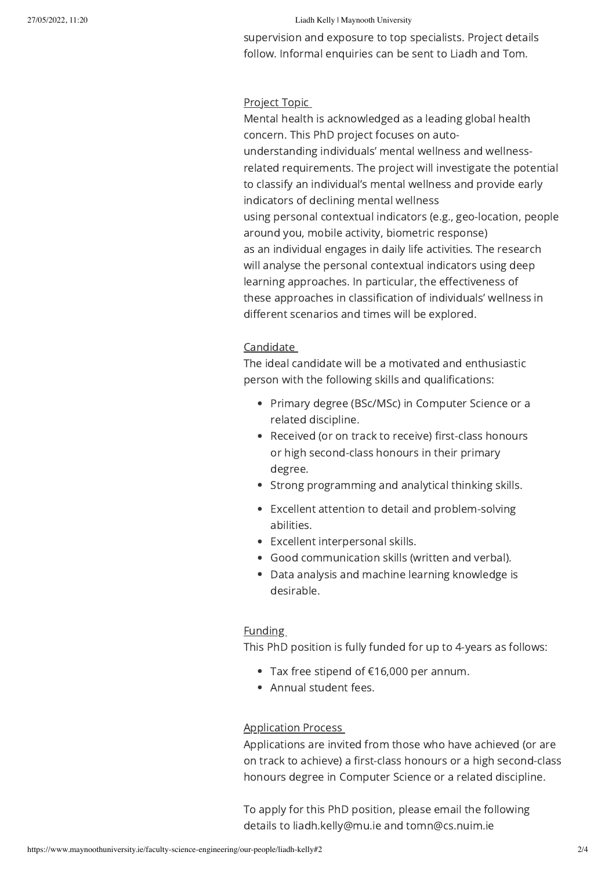### 27/05/2022, 11:20 Liadh Kelly | Maynooth University

supervision and exposure to top specialists. Project details follow. Informal enquiries can be sent to Liadh and Tom.

# Project Topic

Mental health is acknowledged as a leading global health concern. This PhD project focuses on autounderstanding individuals' mental wellness and wellnessrelated requirements. The project will investigate the potential to classify an individual's mental wellness and provide early indicators of declining mental wellness using personal contextual indicators (e.g., geo-location, people around you, mobile activity, biometric response) as an individual engages in daily life activities. The research will analyse the personal contextual indicators using deep learning approaches. In particular, the effectiveness of these approaches in classification of individuals' wellness in different scenarios and times will be explored.

## Candidate

The ideal candidate will be a motivated and enthusiastic person with the following skills and qualifications:

- Primary degree (BSc/MSc) in Computer Science or a related discipline.
- Received (or on track to receive) first-class honours or high second-class honours in their primary degree.
- Strong programming and analytical thinking skills.
- Excellent attention to detail and problem-solving abilities.
- Excellent interpersonal skills.
- Good communication skills (written and verbal).
- Data analysis and machine learning knowledge is desirable.

# Funding

This PhD position is fully funded for up to 4-years as follows:

- Tax free stipend of €16,000 per annum.
- Annual student fees.

### Application Process

Applications are invited from those who have achieved (or are on track to achieve) a first-class honours or a high second-class honours degree in Computer Science or a related discipline.

To apply for this PhD position, please email the following details to liadh.kelly@mu.ie and tomn@cs.nuim.ie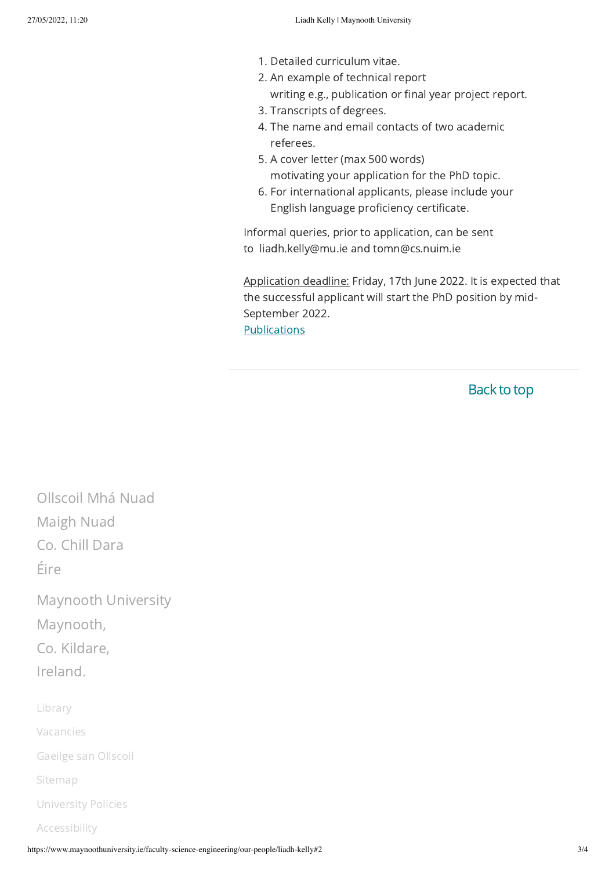- 1. Detailed curriculum vitae.
- 2. An example of technical report writing e.g., publication or final year project report.
- 3. Transcripts of degrees.
- 4. The name and email contacts of two academic referees.
- 5. A cover letter (max 500 words) motivating your application for the PhD topic.
- 6. For international applicants, please include your English language proficiency certificate.

Informal queries, prior to application, can be sent to liadh.kelly@mu.ie and tomn@cs.nuim.ie

Application deadline: Friday, 17th June 2022. It is expected that the successful applicant will start the PhD position by mid-September 2022. **Publications** 

**Back to top** 

Ollscoil Mhá Nuad Maigh Nuad Co. Chill Dara Éire

Maynooth University Maynooth, Co. Kildare, Ireland.

[Library](https://www.maynoothuniversity.ie/library)

[Vacancies](https://www.maynoothuniversity.ie/human-resources/vacancies)

[Gaeilge](https://www.maynoothuniversity.ie/oifig-na-gaeilge) san Ollscoil

[Sitemap](https://www.maynoothuniversity.ie/sitemap)

[University](https://www.maynoothuniversity.ie/university-policies) Policies

[Accessibility](https://www.maynoothuniversity.ie/accessiblity)